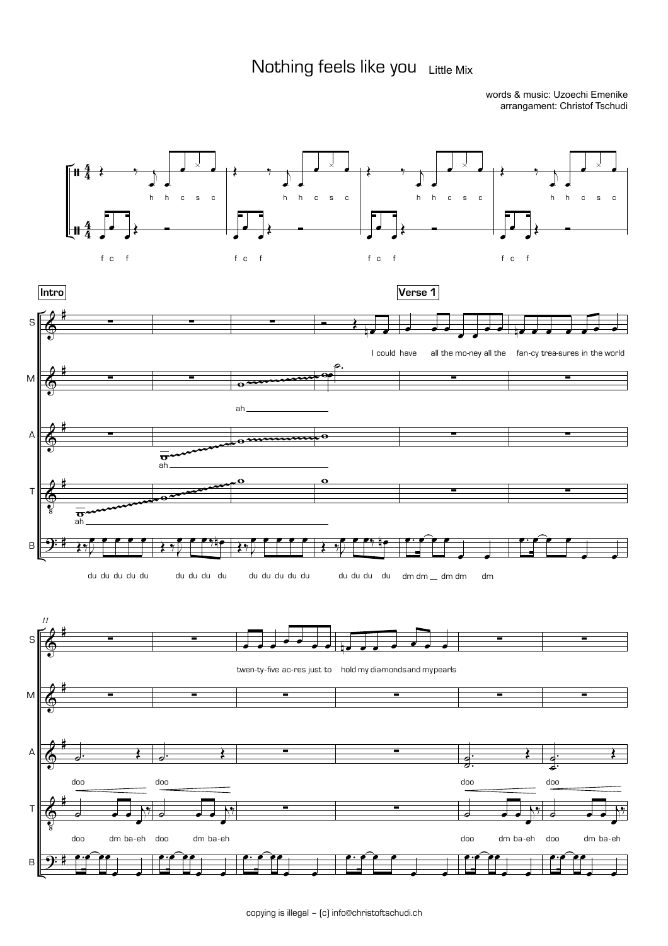## Nothing feels like you Little Mix

words & music: Uzoechi Emenike arrangament: Christof Tschudi

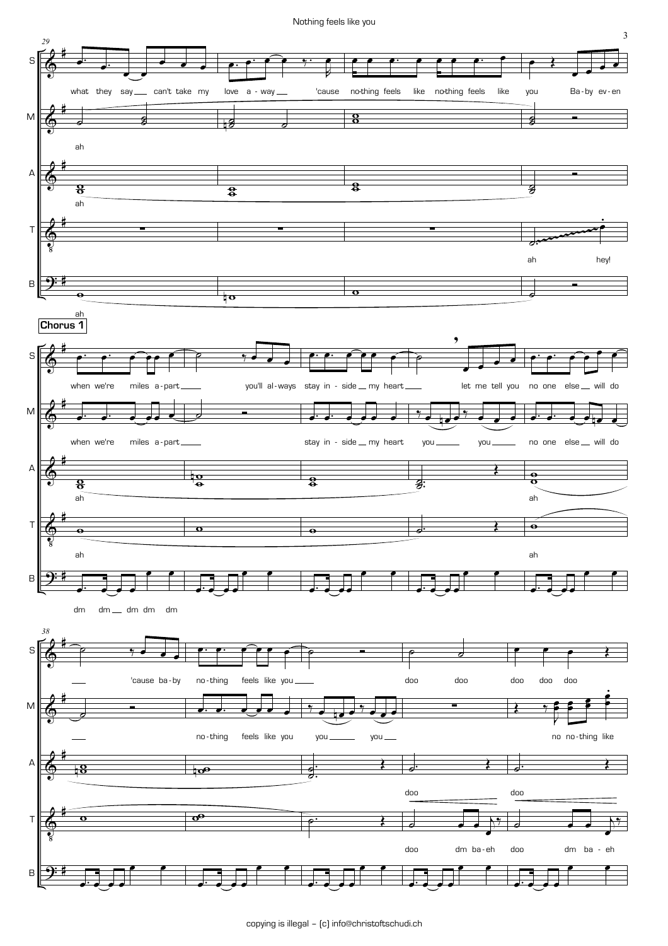Nothing feels like you

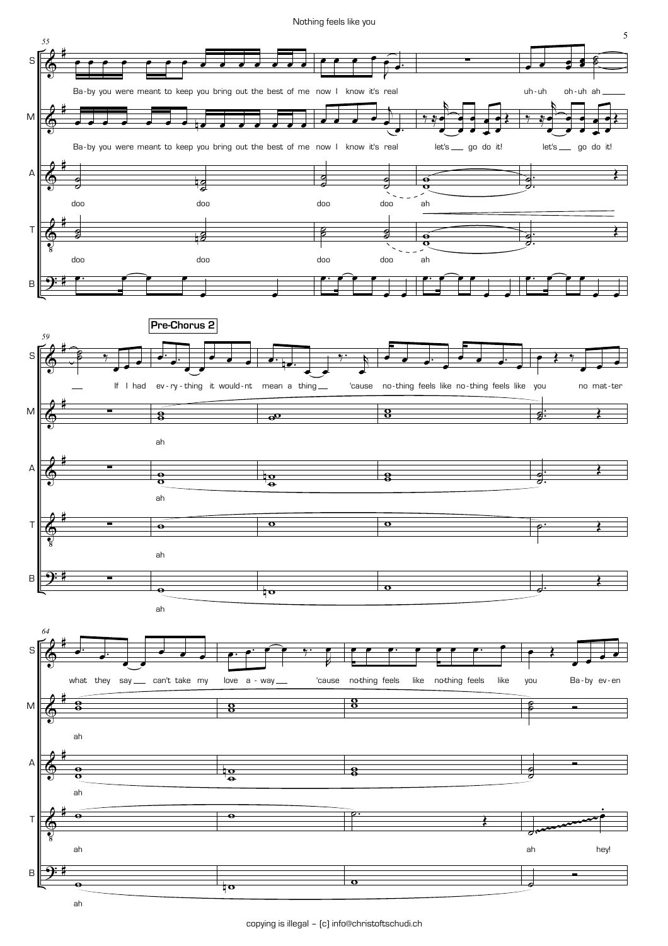Nothing feels like you